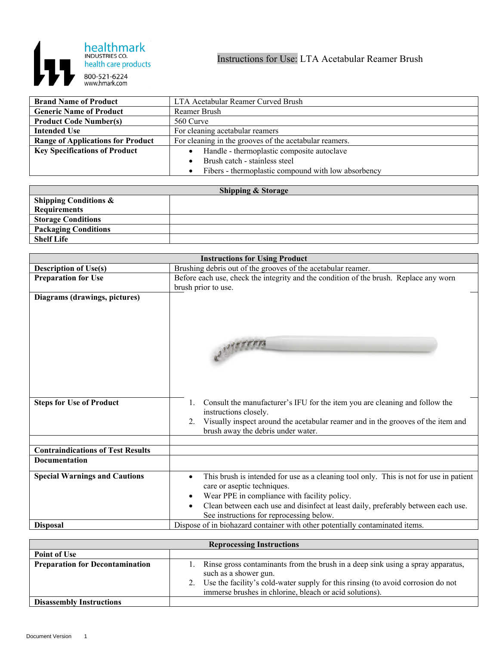

| <b>Brand Name of Product</b>             | LTA Acetabular Reamer Curved Brush                     |
|------------------------------------------|--------------------------------------------------------|
| <b>Generic Name of Product</b>           | Reamer Brush                                           |
| <b>Product Code Number(s)</b>            | 560 Curve                                              |
| <b>Intended Use</b>                      | For cleaning acetabular reamers                        |
| <b>Range of Applications for Product</b> | For cleaning in the grooves of the acetabular reamers. |
| <b>Key Specifications of Product</b>     | Handle - thermoplastic composite autoclave             |
|                                          | Brush catch - stainless steel                          |
|                                          | Fibers - thermoplastic compound with low absorbency    |

| <b>Shipping &amp; Storage</b>    |  |  |
|----------------------------------|--|--|
| <b>Shipping Conditions &amp;</b> |  |  |
| Requirements                     |  |  |
| <b>Storage Conditions</b>        |  |  |
| <b>Packaging Conditions</b>      |  |  |
| <b>Shelf Life</b>                |  |  |

| <b>Instructions for Using Product</b>    |                                                                                                            |
|------------------------------------------|------------------------------------------------------------------------------------------------------------|
| <b>Description of Use(s)</b>             | Brushing debris out of the grooves of the acetabular reamer.                                               |
| <b>Preparation for Use</b>               | Before each use, check the integrity and the condition of the brush. Replace any worn                      |
|                                          | brush prior to use.                                                                                        |
| Diagrams (drawings, pictures)            |                                                                                                            |
|                                          |                                                                                                            |
|                                          |                                                                                                            |
|                                          |                                                                                                            |
|                                          |                                                                                                            |
|                                          |                                                                                                            |
|                                          |                                                                                                            |
|                                          |                                                                                                            |
| <b>Steps for Use of Product</b>          | Consult the manufacturer's IFU for the item you are cleaning and follow the<br>1.<br>instructions closely. |
|                                          | Visually inspect around the acetabular reamer and in the grooves of the item and<br>2.                     |
|                                          | brush away the debris under water.                                                                         |
|                                          |                                                                                                            |
| <b>Contraindications of Test Results</b> |                                                                                                            |
| <b>Documentation</b>                     |                                                                                                            |
| <b>Special Warnings and Cautions</b>     | This brush is intended for use as a cleaning tool only. This is not for use in patient<br>$\bullet$        |
|                                          | care or aseptic techniques.                                                                                |
|                                          | Wear PPE in compliance with facility policy.                                                               |
|                                          | Clean between each use and disinfect at least daily, preferably between each use.                          |
|                                          | See instructions for reprocessing below.                                                                   |
| <b>Disposal</b>                          | Dispose of in biohazard container with other potentially contaminated items.                               |

| <b>Reprocessing Instructions</b>       |                                                                                                                                                                                                                                                               |  |
|----------------------------------------|---------------------------------------------------------------------------------------------------------------------------------------------------------------------------------------------------------------------------------------------------------------|--|
| <b>Point of Use</b>                    |                                                                                                                                                                                                                                                               |  |
| <b>Preparation for Decontamination</b> | Rinse gross contaminants from the brush in a deep sink using a spray apparatus,<br>such as a shower gun.<br>Use the facility's cold-water supply for this rinsing (to avoid corrosion do not<br>2.<br>immerse brushes in chlorine, bleach or acid solutions). |  |
| <b>Disassembly Instructions</b>        |                                                                                                                                                                                                                                                               |  |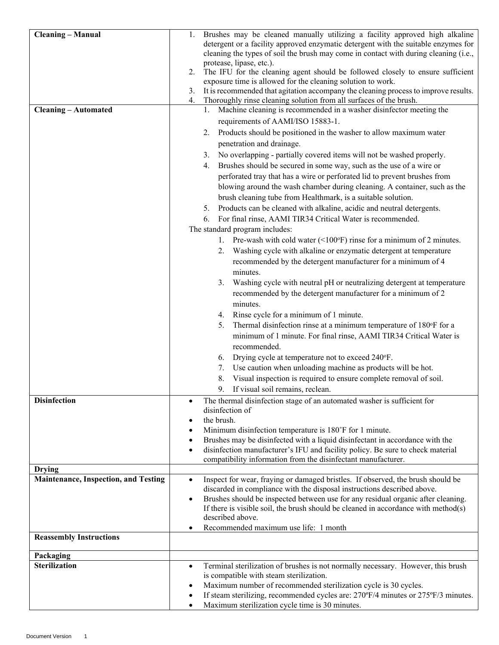| <b>Cleaning - Manual</b>                    | Brushes may be cleaned manually utilizing a facility approved high alkaline                                                                                                         |
|---------------------------------------------|-------------------------------------------------------------------------------------------------------------------------------------------------------------------------------------|
|                                             | detergent or a facility approved enzymatic detergent with the suitable enzymes for                                                                                                  |
|                                             | cleaning the types of soil the brush may come in contact with during cleaning (i.e.,<br>protease, lipase, etc.).                                                                    |
|                                             | The IFU for the cleaning agent should be followed closely to ensure sufficient<br>2.                                                                                                |
|                                             | exposure time is allowed for the cleaning solution to work.                                                                                                                         |
|                                             | 3. It is recommended that agitation accompany the cleaning process to improve results.                                                                                              |
|                                             | Thoroughly rinse cleaning solution from all surfaces of the brush.<br>4.<br>1. Machine cleaning is recommended in a washer disinfector meeting the                                  |
| <b>Cleaning - Automated</b>                 | requirements of AAMI/ISO 15883-1.                                                                                                                                                   |
|                                             | 2. Products should be positioned in the washer to allow maximum water                                                                                                               |
|                                             | penetration and drainage.                                                                                                                                                           |
|                                             | 3. No overlapping - partially covered items will not be washed properly.                                                                                                            |
|                                             | Brushes should be secured in some way, such as the use of a wire or<br>4.                                                                                                           |
|                                             | perforated tray that has a wire or perforated lid to prevent brushes from                                                                                                           |
|                                             | blowing around the wash chamber during cleaning. A container, such as the                                                                                                           |
|                                             | brush cleaning tube from Healthmark, is a suitable solution.                                                                                                                        |
|                                             | 5. Products can be cleaned with alkaline, acidic and neutral detergents.                                                                                                            |
|                                             | For final rinse, AAMI TIR34 Critical Water is recommended.<br>6.                                                                                                                    |
|                                             | The standard program includes:                                                                                                                                                      |
|                                             | 1. Pre-wash with cold water $(\leq 100^\circ F)$ rinse for a minimum of 2 minutes.                                                                                                  |
|                                             | Washing cycle with alkaline or enzymatic detergent at temperature<br>2.                                                                                                             |
|                                             | recommended by the detergent manufacturer for a minimum of 4                                                                                                                        |
|                                             | minutes.                                                                                                                                                                            |
|                                             | Washing cycle with neutral pH or neutralizing detergent at temperature<br>3.                                                                                                        |
|                                             | recommended by the detergent manufacturer for a minimum of 2                                                                                                                        |
|                                             | minutes.                                                                                                                                                                            |
|                                             | Rinse cycle for a minimum of 1 minute.<br>4.<br>Thermal disinfection rinse at a minimum temperature of 180°F for a<br>5.                                                            |
|                                             | minimum of 1 minute. For final rinse, AAMI TIR34 Critical Water is                                                                                                                  |
|                                             | recommended.                                                                                                                                                                        |
|                                             | Drying cycle at temperature not to exceed 240°F.<br>6.                                                                                                                              |
|                                             | Use caution when unloading machine as products will be hot.<br>7.                                                                                                                   |
|                                             | Visual inspection is required to ensure complete removal of soil.<br>8.                                                                                                             |
|                                             | If visual soil remains, reclean.<br>9.                                                                                                                                              |
| <b>Disinfection</b>                         | The thermal disinfection stage of an automated washer is sufficient for<br>$\bullet$                                                                                                |
|                                             | disinfection of                                                                                                                                                                     |
|                                             | the brush.                                                                                                                                                                          |
|                                             | Minimum disinfection temperature is 180°F for 1 minute.                                                                                                                             |
|                                             | Brushes may be disinfected with a liquid disinfectant in accordance with the<br>disinfection manufacturer's IFU and facility policy. Be sure to check material                      |
|                                             | compatibility information from the disinfectant manufacturer.                                                                                                                       |
| <b>Drying</b>                               |                                                                                                                                                                                     |
| <b>Maintenance, Inspection, and Testing</b> | Inspect for wear, fraying or damaged bristles. If observed, the brush should be<br>$\bullet$                                                                                        |
|                                             | discarded in compliance with the disposal instructions described above.                                                                                                             |
|                                             | Brushes should be inspected between use for any residual organic after cleaning.<br>$\bullet$<br>If there is visible soil, the brush should be cleaned in accordance with method(s) |
|                                             | described above.                                                                                                                                                                    |
|                                             | Recommended maximum use life: 1 month                                                                                                                                               |
| <b>Reassembly Instructions</b>              |                                                                                                                                                                                     |
|                                             |                                                                                                                                                                                     |
| Packaging<br><b>Sterilization</b>           | Terminal sterilization of brushes is not normally necessary. However, this brush<br>$\bullet$                                                                                       |
|                                             | is compatible with steam sterilization.                                                                                                                                             |
|                                             | Maximum number of recommended sterilization cycle is 30 cycles.<br>٠                                                                                                                |
|                                             | If steam sterilizing, recommended cycles are: 270°F/4 minutes or 275°F/3 minutes.<br>$\bullet$                                                                                      |
|                                             | Maximum sterilization cycle time is 30 minutes.<br>$\bullet$                                                                                                                        |